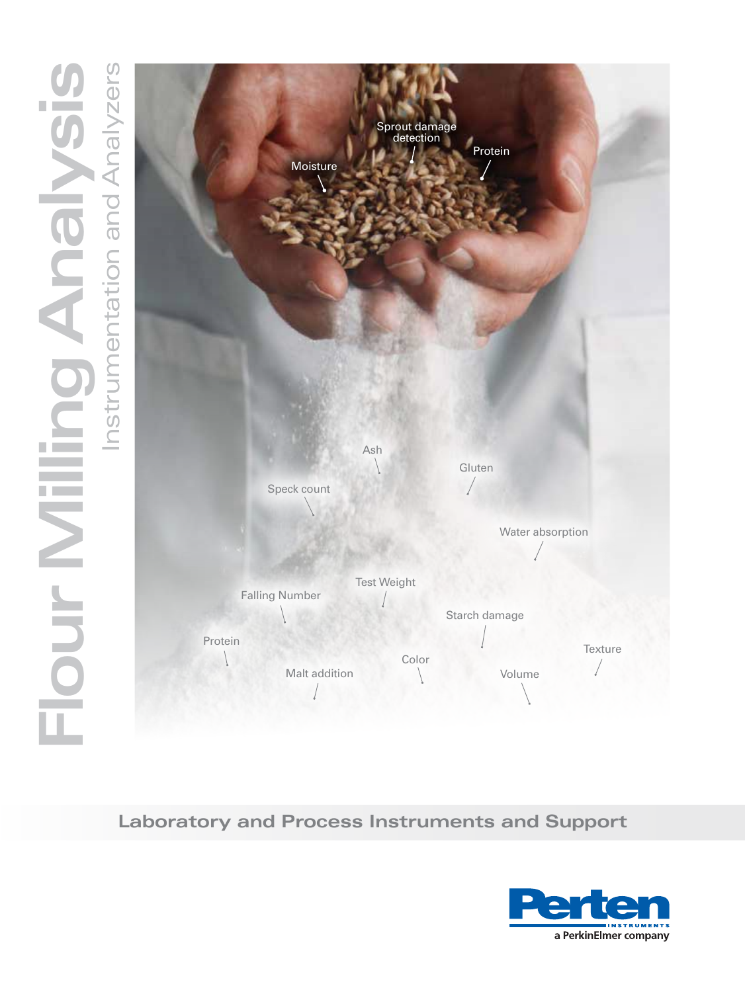

**Laboratory and Process Instruments and Support**

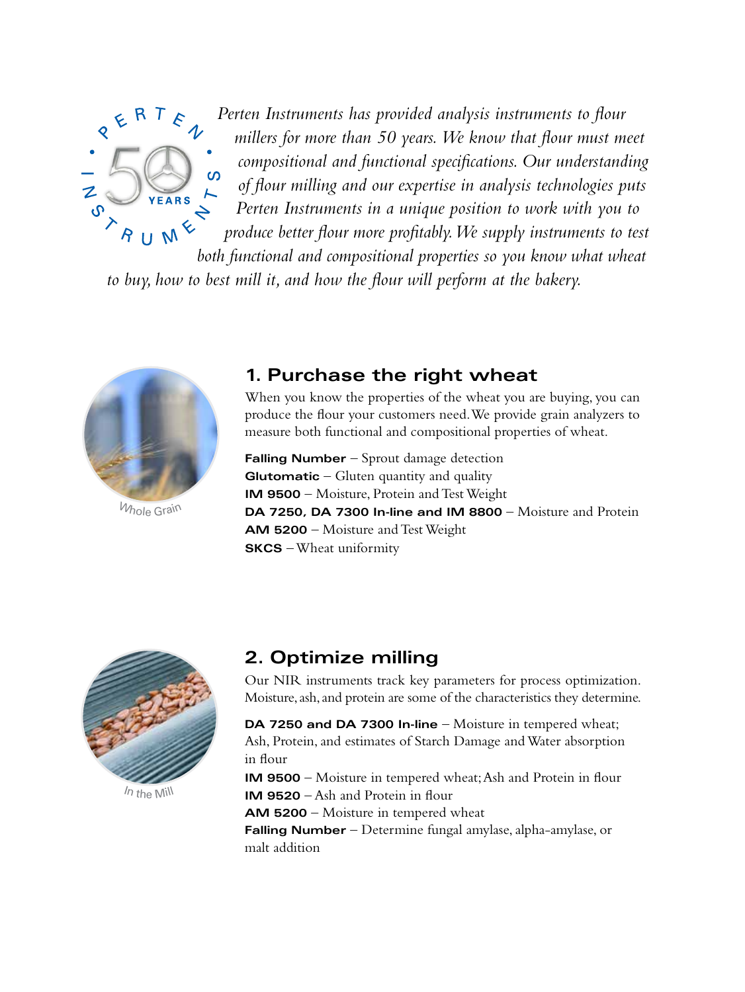

*Perten Instruments has provided analysis instruments to flour millers for more than 50 years. We know that flour must meet compositional and functional specifications. Our understanding of flour milling and our expertise in analysis technologies puts Perten Instruments in a unique position to work with you to produce better flour more profitably. We supply instruments to test* 

*both functional and compositional properties so you know what wheat to buy, how to best mill it, and how the flour will perform at the bakery.*



*Whole Grain* 

## **1. Purchase the right wheat**

When you know the properties of the wheat you are buying, you can produce the flour your customers need. We provide grain analyzers to measure both functional and compositional properties of wheat.

**Falling Number** – Sprout damage detection **Glutomatic** – Gluten quantity and quality **IM 9500** – Moisture, Protein and Test Weight **DA 7250, DA 7300 In-line and IM 8800** – Moisture and Protein **AM 5200** – Moisture and Test Weight **SKCS** – Wheat uniformity



In the Mill

## **2. Optimize milling**

Our NIR instruments track key parameters for process optimization. Moisture, ash, and protein are some of the characteristics they determine.

**DA 7250 and DA 7300 In-line** – Moisture in tempered wheat; Ash, Protein, and estimates of Starch Damage and Water absorption in flour

**IM 9500** – Moisture in tempered wheat; Ash and Protein in flour **IM 9520** – Ash and Protein in flour

**AM 5200** – Moisture in tempered wheat

**Falling Number** – Determine fungal amylase, alpha-amylase, or malt addition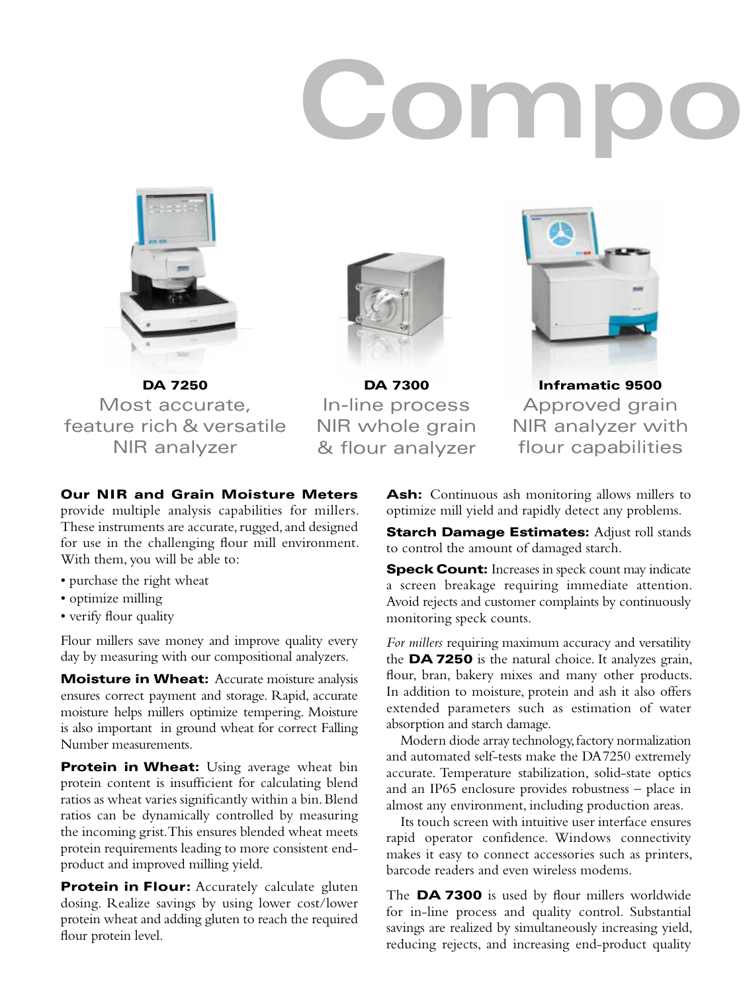## **Compositional**



DA 7250 Most accurate, feature rich & versatile NIR analyzer



DA 7300 In-line process NIR whole grain & flour analyzer



Inframatic 9500 Approved grain NIR analyzer with flour capabilities

**Our NIR and Grain Moisture Meters** provide multiple analysis capabilities for millers.

These instruments are accurate, rugged, and designed for use in the challenging flour mill environment. With them, you will be able to:

- purchase the right wheat
- optimize milling
- verify flour quality

Flour millers save money and improve quality every day by measuring with our compositional analyzers.

**Moisture in Wheat:** Accurate moisture analysis ensures correct payment and storage. Rapid, accurate moisture helps millers optimize tempering. Moisture is also important in ground wheat for correct Falling Number measurements.

Protein in Wheat: Using average wheat bin protein content is insufficient for calculating blend ratios as wheat varies significantly within a bin. Blend ratios can be dynamically controlled by measuring the incoming grist. This ensures blended wheat meets protein requirements leading to more consistent endproduct and improved milling yield.

**Protein in Flour:** Accurately calculate gluten dosing. Realize savings by using lower cost/lower protein wheat and adding gluten to reach the required flour protein level.

Ash: Continuous ash monitoring allows millers to optimize mill yield and rapidly detect any problems.

**Starch Damage Estimates: Adjust roll stands** to control the amount of damaged starch.

**Speck Count:** Increases in speck count may indicate a screen breakage requiring immediate attention. Avoid rejects and customer complaints by continuously monitoring speck counts.

*For millers* requiring maximum accuracy and versatility the DA 7250 is the natural choice. It analyzes grain, flour, bran, bakery mixes and many other products. In addition to moisture, protein and ash it also offers extended parameters such as estimation of water absorption and starch damage.

Modern diode array technology, factory normalization and automated self-tests make the DA 7250 extremely accurate. Temperature stabilization, solid-state optics and an IP65 enclosure provides robustness – place in almost any environment, including production areas.

Its touch screen with intuitive user interface ensures rapid operator confidence. Windows connectivity makes it easy to connect accessories such as printers, barcode readers and even wireless modems.

The **DA 7300** is used by flour millers worldwide for in-line process and quality control. Substantial savings are realized by simultaneously increasing yield, reducing rejects, and increasing end-product quality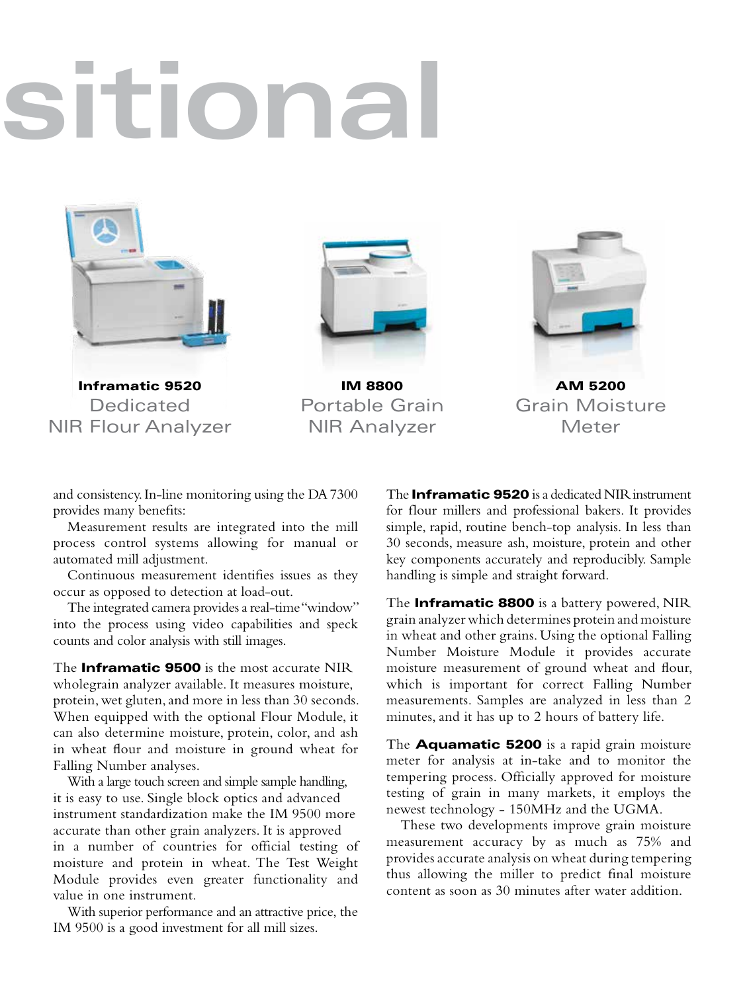# **Compositional**



Inframatic 9520 **Dedicated** NIR Flour Analyzer



IM 8800 Portable Grain NIR Analyzer



AM 5200 Grain Moisture **Meter** 

and consistency. In-line monitoring using the DA 7300 provides many benefits:

Measurement results are integrated into the mill process control systems allowing for manual or automated mill adjustment.

Continuous measurement identifies issues as they occur as opposed to detection at load-out.

The integrated camera provides a real-time "window" into the process using video capabilities and speck counts and color analysis with still images.

The **Inframatic 9500** is the most accurate NIR wholegrain analyzer available. It measures moisture, protein, wet gluten, and more in less than 30 seconds. When equipped with the optional Flour Module, it can also determine moisture, protein, color, and ash in wheat flour and moisture in ground wheat for Falling Number analyses.

With a large touch screen and simple sample handling, it is easy to use. Single block optics and advanced instrument standardization make the IM 9500 more accurate than other grain analyzers. It is approved in a number of countries for official testing of moisture and protein in wheat. The Test Weight Module provides even greater functionality and value in one instrument.

With superior performance and an attractive price, the IM 9500 is a good investment for all mill sizes.

The **Inframatic 9520** is a dedicated NIR instrument for flour millers and professional bakers. It provides simple, rapid, routine bench-top analysis. In less than 30 seconds, measure ash, moisture, protein and other key components accurately and reproducibly. Sample handling is simple and straight forward.

The **Inframatic 8800** is a battery powered, NIR grain analyzer which determines protein and moisture in wheat and other grains. Using the optional Falling Number Moisture Module it provides accurate moisture measurement of ground wheat and flour, which is important for correct Falling Number measurements. Samples are analyzed in less than 2 minutes, and it has up to 2 hours of battery life.

The **Aquamatic 5200** is a rapid grain moisture meter for analysis at in-take and to monitor the tempering process. Officially approved for moisture testing of grain in many markets, it employs the newest technology - 150MHz and the UGMA.

These two developments improve grain moisture measurement accuracy by as much as 75% and provides accurate analysis on wheat during tempering thus allowing the miller to predict final moisture content as soon as 30 minutes after water addition.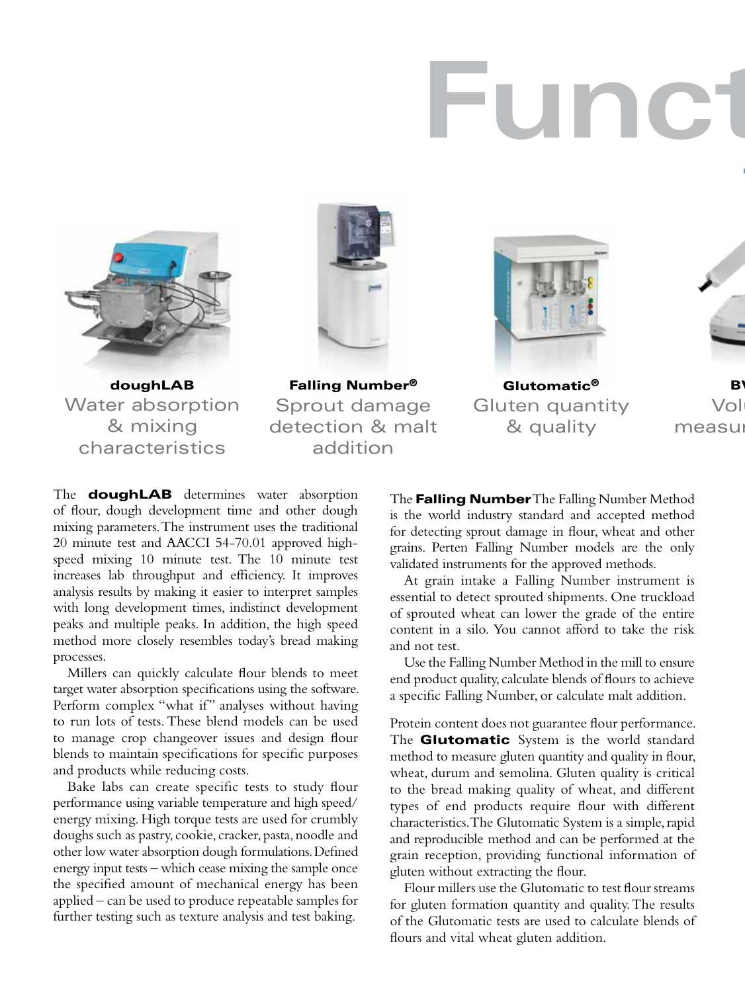## **Functional**





doughLAB Water absorption & mixing characteristics

Falling Number® Sprout damage detection & malt addition



Glutomatic® Gluten quantity & quality

 $\mathbf{R}$  $\sqrt{2}$ measur

The **doughLAB** determines water absorption of flour, dough development time and other dough mixing parameters. The instrument uses the traditional 20 minute test and AACCI 54-70.01 approved highspeed mixing 10 minute test. The 10 minute test increases lab throughput and efficiency. It improves analysis results by making it easier to interpret samples with long development times, indistinct development peaks and multiple peaks. In addition, the high speed method more closely resembles today's bread making processes.

Millers can quickly calculate flour blends to meet target water absorption specifications using the software. Perform complex "what if" analyses without having to run lots of tests. These blend models can be used to manage crop changeover issues and design flour blends to maintain specifications for specific purposes and products while reducing costs.

Bake labs can create specific tests to study flour performance using variable temperature and high speed/ energy mixing. High torque tests are used for crumbly doughs such as pastry, cookie, cracker, pasta, noodle and other low water absorption dough formulations. Defined energy input tests – which cease mixing the sample once the specified amount of mechanical energy has been applied – can be used to produce repeatable samples for further testing such as texture analysis and test baking.

The Falling Number The Falling Number Method is the world industry standard and accepted method for detecting sprout damage in flour, wheat and other grains. Perten Falling Number models are the only validated instruments for the approved methods.

At grain intake a Falling Number instrument is essential to detect sprouted shipments. One truckload of sprouted wheat can lower the grade of the entire content in a silo. You cannot afford to take the risk and not test.

Use the Falling Number Method in the mill to ensure end product quality, calculate blends of flours to achieve a specific Falling Number, or calculate malt addition.

Protein content does not guarantee flour performance. The **Glutomatic** System is the world standard method to measure gluten quantity and quality in flour, wheat, durum and semolina. Gluten quality is critical to the bread making quality of wheat, and different types of end products require flour with different characteristics. The Glutomatic System is a simple, rapid and reproducible method and can be performed at the grain reception, providing functional information of gluten without extracting the flour.

Flour millers use the Glutomatic to test flour streams for gluten formation quantity and quality. The results of the Glutomatic tests are used to calculate blends of flours and vital wheat gluten addition.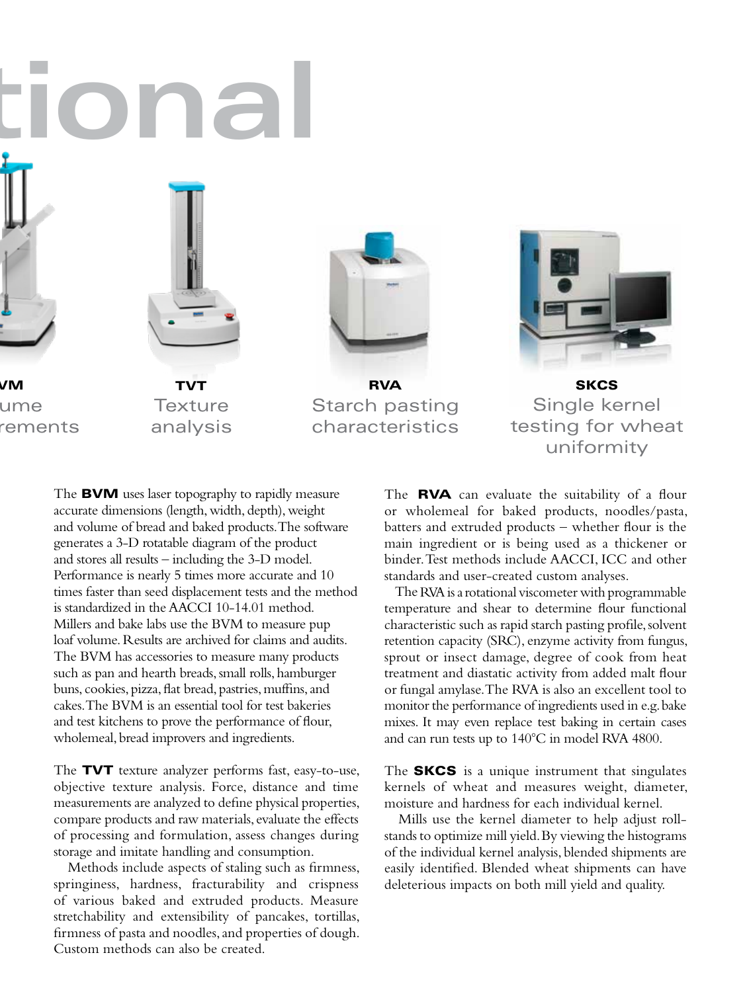# **Functional**

BVM ume rements

TVT **Texture** analysis



**RVA** Starch pasting characteristics



**SKCS** Single kernel testing for wheat uniformity

The **BVM** uses laser topography to rapidly measure accurate dimensions (length, width, depth), weight and volume of bread and baked products. The software generates a 3-D rotatable diagram of the product and stores all results – including the 3-D model. Performance is nearly 5 times more accurate and 10 times faster than seed displacement tests and the method is standardized in the AACCI 10-14.01 method. Millers and bake labs use the BVM to measure pup loaf volume. Results are archived for claims and audits. The BVM has accessories to measure many products such as pan and hearth breads, small rolls, hamburger buns, cookies, pizza, flat bread, pastries, muffins, and cakes. The BVM is an essential tool for test bakeries and test kitchens to prove the performance of flour, wholemeal, bread improvers and ingredients.

The TVT texture analyzer performs fast, easy-to-use, objective texture analysis. Force, distance and time measurements are analyzed to define physical properties, compare products and raw materials, evaluate the effects of processing and formulation, assess changes during storage and imitate handling and consumption.

Methods include aspects of staling such as firmness, springiness, hardness, fracturability and crispness of various baked and extruded products. Measure stretchability and extensibility of pancakes, tortillas, firmness of pasta and noodles, and properties of dough. Custom methods can also be created.

The **RVA** can evaluate the suitability of a flour or wholemeal for baked products, noodles/pasta, batters and extruded products – whether flour is the main ingredient or is being used as a thickener or binder. Test methods include AACCI, ICC and other standards and user-created custom analyses.

The RVA is a rotational viscometer with programmable temperature and shear to determine flour functional characteristic such as rapid starch pasting profile, solvent retention capacity (SRC), enzyme activity from fungus, sprout or insect damage, degree of cook from heat treatment and diastatic activity from added malt flour or fungal amylase. The RVA is also an excellent tool to monitor the performance of ingredients used in e.g. bake mixes. It may even replace test baking in certain cases and can run tests up to 140°C in model RVA 4800.

The **SKCS** is a unique instrument that singulates kernels of wheat and measures weight, diameter, moisture and hardness for each individual kernel.

Mills use the kernel diameter to help adjust rollstands to optimize mill yield. By viewing the histograms of the individual kernel analysis, blended shipments are easily identified. Blended wheat shipments can have deleterious impacts on both mill yield and quality.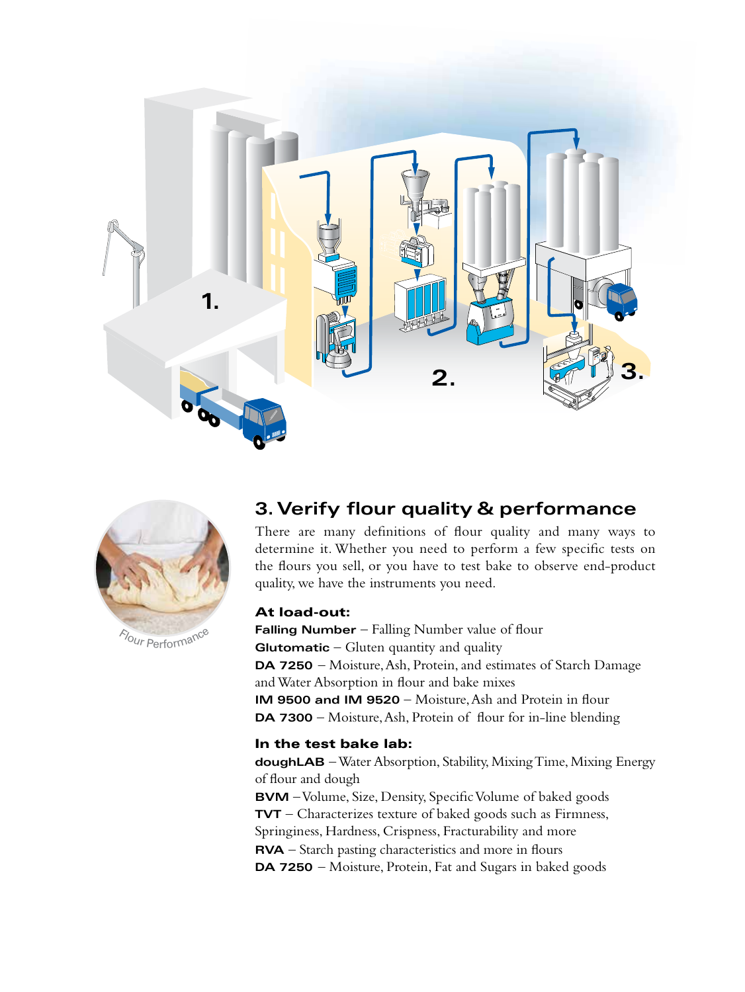



## **3. Verify flour quality & performance**

There are many definitions of flour quality and many ways to determine it. Whether you need to perform a few specific tests on the flours you sell, or you have to test bake to observe end-product quality, we have the instruments you need.

### At load-out:

**Falling Number** – Falling Number value of flour **Glutomatic** – Gluten quantity and quality **DA 7250** – Moisture, Ash, Protein, and estimates of Starch Damage and Water Absorption in flour and bake mixes **IM 9500 and IM 9520** – Moisture, Ash and Protein in flour **DA 7300** – Moisture, Ash, Protein of flour for in-line blending

## In the test bake lab:

**doughLAB** – Water Absorption, Stability, Mixing Time, Mixing Energy of flour and dough **BVM** – Volume, Size, Density, Specific Volume of baked goods **TVT** – Characterizes texture of baked goods such as Firmness, Springiness, Hardness, Crispness, Fracturability and more **RVA** – Starch pasting characteristics and more in flours **DA 7250** – Moisture, Protein, Fat and Sugars in baked goods